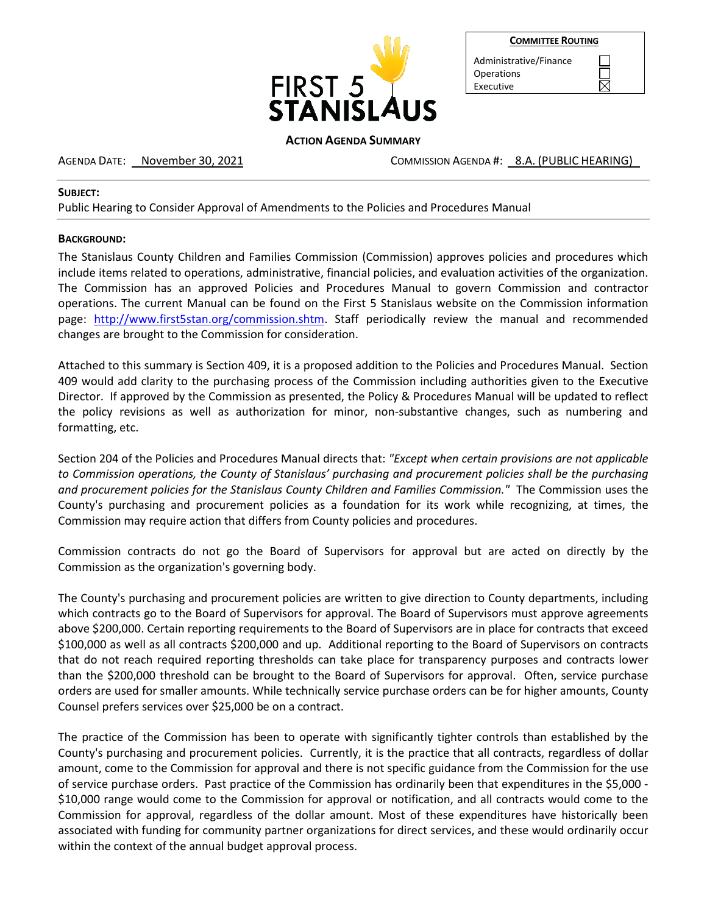

| <b>COMMITTEE ROUTING</b> |  |
|--------------------------|--|
|                          |  |

 $\boxtimes$ 

Administrative/Finance **Operations** Executive

## **ACTION AGENDA SUMMARY**

AGENDA DATE: November 30, 2021 COMMISSION AGENDA #: 8.A. (PUBLIC HEARING)

## **SUBJECT:**

Public Hearing to Consider Approval of Amendments to the Policies and Procedures Manual

# **BACKGROUND:**

The Stanislaus County Children and Families Commission (Commission) approves policies and procedures which include items related to operations, administrative, financial policies, and evaluation activities of the organization. The Commission has an approved Policies and Procedures Manual to govern Commission and contractor operations. The current Manual can be found on the First 5 Stanislaus website on the Commission information page: [http://www.first5stan.org/commission.shtm.](http://www.first5stan.org/commission.shtm) Staff periodically review the manual and recommended changes are brought to the Commission for consideration.

Attached to this summary is Section 409, it is a proposed addition to the Policies and Procedures Manual. Section 409 would add clarity to the purchasing process of the Commission including authorities given to the Executive Director. If approved by the Commission as presented, the Policy & Procedures Manual will be updated to reflect the policy revisions as well as authorization for minor, non-substantive changes, such as numbering and formatting, etc.

Section 204 of the Policies and Procedures Manual directs that: *"Except when certain provisions are not applicable to Commission operations, the County of Stanislaus' purchasing and procurement policies shall be the purchasing and procurement policies for the Stanislaus County Children and Families Commission."* The Commission uses the County's purchasing and procurement policies as a foundation for its work while recognizing, at times, the Commission may require action that differs from County policies and procedures.

Commission contracts do not go the Board of Supervisors for approval but are acted on directly by the Commission as the organization's governing body.

The County's purchasing and procurement policies are written to give direction to County departments, including which contracts go to the Board of Supervisors for approval. The Board of Supervisors must approve agreements above \$200,000. Certain reporting requirements to the Board of Supervisors are in place for contracts that exceed \$100,000 as well as all contracts \$200,000 and up. Additional reporting to the Board of Supervisors on contracts that do not reach required reporting thresholds can take place for transparency purposes and contracts lower than the \$200,000 threshold can be brought to the Board of Supervisors for approval. Often, service purchase orders are used for smaller amounts. While technically service purchase orders can be for higher amounts, County Counsel prefers services over \$25,000 be on a contract.

The practice of the Commission has been to operate with significantly tighter controls than established by the County's purchasing and procurement policies. Currently, it is the practice that all contracts, regardless of dollar amount, come to the Commission for approval and there is not specific guidance from the Commission for the use of service purchase orders. Past practice of the Commission has ordinarily been that expenditures in the \$5,000 - \$10,000 range would come to the Commission for approval or notification, and all contracts would come to the Commission for approval, regardless of the dollar amount. Most of these expenditures have historically been associated with funding for community partner organizations for direct services, and these would ordinarily occur within the context of the annual budget approval process.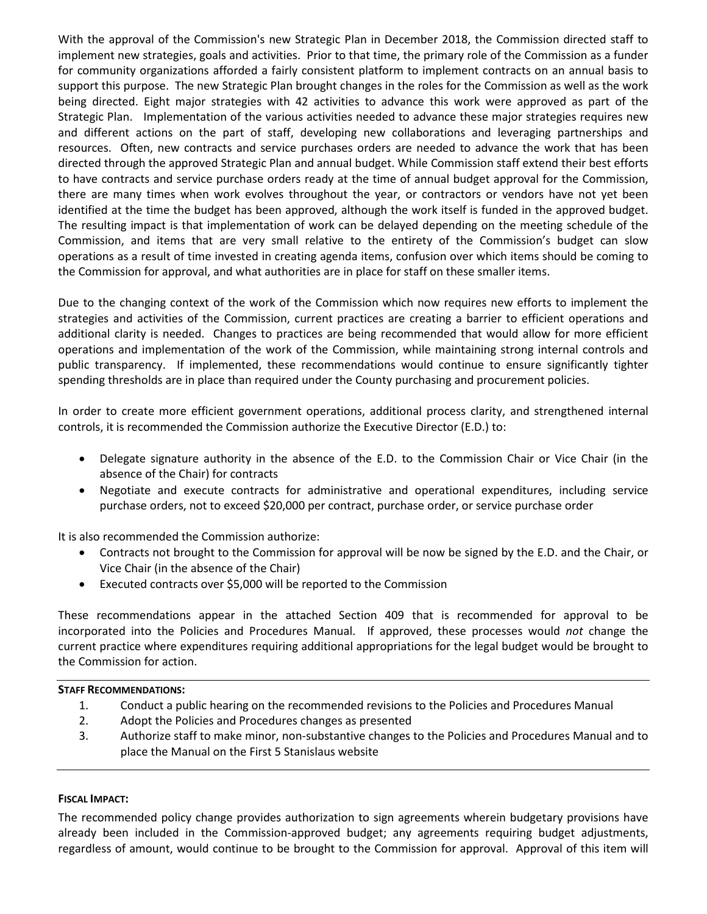With the approval of the Commission's new Strategic Plan in December 2018, the Commission directed staff to implement new strategies, goals and activities. Prior to that time, the primary role of the Commission as a funder for community organizations afforded a fairly consistent platform to implement contracts on an annual basis to support this purpose. The new Strategic Plan brought changes in the roles for the Commission as well as the work being directed. Eight major strategies with 42 activities to advance this work were approved as part of the Strategic Plan. Implementation of the various activities needed to advance these major strategies requires new and different actions on the part of staff, developing new collaborations and leveraging partnerships and resources. Often, new contracts and service purchases orders are needed to advance the work that has been directed through the approved Strategic Plan and annual budget. While Commission staff extend their best efforts to have contracts and service purchase orders ready at the time of annual budget approval for the Commission, there are many times when work evolves throughout the year, or contractors or vendors have not yet been identified at the time the budget has been approved, although the work itself is funded in the approved budget. The resulting impact is that implementation of work can be delayed depending on the meeting schedule of the Commission, and items that are very small relative to the entirety of the Commission's budget can slow operations as a result of time invested in creating agenda items, confusion over which items should be coming to the Commission for approval, and what authorities are in place for staff on these smaller items.

Due to the changing context of the work of the Commission which now requires new efforts to implement the strategies and activities of the Commission, current practices are creating a barrier to efficient operations and additional clarity is needed. Changes to practices are being recommended that would allow for more efficient operations and implementation of the work of the Commission, while maintaining strong internal controls and public transparency. If implemented, these recommendations would continue to ensure significantly tighter spending thresholds are in place than required under the County purchasing and procurement policies.

In order to create more efficient government operations, additional process clarity, and strengthened internal controls, it is recommended the Commission authorize the Executive Director (E.D.) to:

- Delegate signature authority in the absence of the E.D. to the Commission Chair or Vice Chair (in the absence of the Chair) for contracts
- Negotiate and execute contracts for administrative and operational expenditures, including service purchase orders, not to exceed \$20,000 per contract, purchase order, or service purchase order

It is also recommended the Commission authorize:

- Contracts not brought to the Commission for approval will be now be signed by the E.D. and the Chair, or Vice Chair (in the absence of the Chair)
- Executed contracts over \$5,000 will be reported to the Commission

These recommendations appear in the attached Section 409 that is recommended for approval to be incorporated into the Policies and Procedures Manual. If approved, these processes would *not* change the current practice where expenditures requiring additional appropriations for the legal budget would be brought to the Commission for action.

### **STAFF RECOMMENDATIONS:**

- 1. Conduct a public hearing on the recommended revisions to the Policies and Procedures Manual
- 2. Adopt the Policies and Procedures changes as presented
- 3. Authorize staff to make minor, non-substantive changes to the Policies and Procedures Manual and to place the Manual on the First 5 Stanislaus website

## **FISCAL IMPACT:**

The recommended policy change provides authorization to sign agreements wherein budgetary provisions have already been included in the Commission-approved budget; any agreements requiring budget adjustments, regardless of amount, would continue to be brought to the Commission for approval. Approval of this item will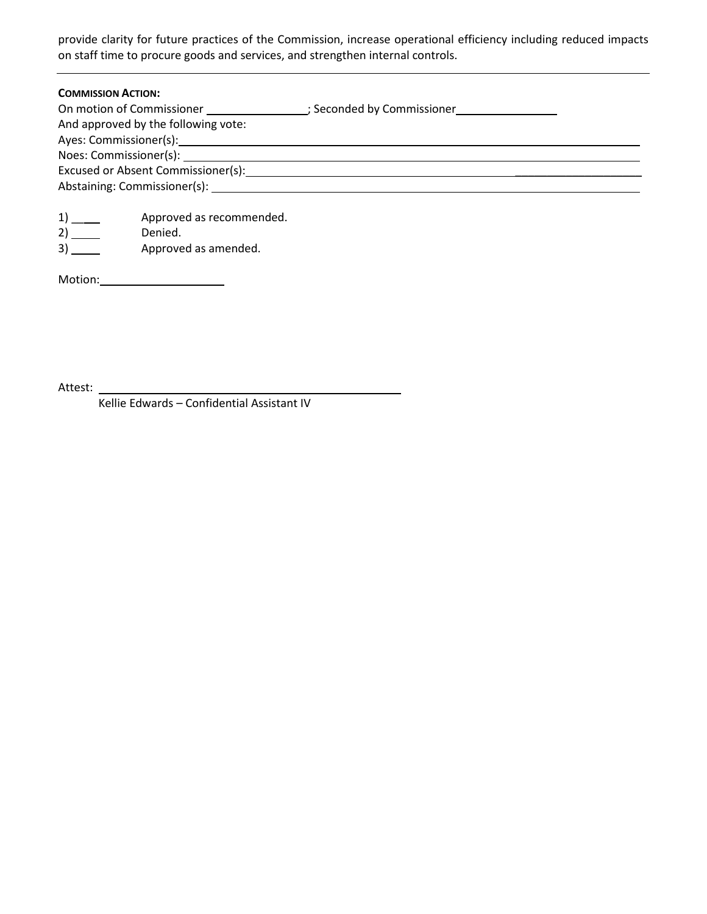provide clarity for future practices of the Commission, increase operational efficiency including reduced impacts on staff time to procure goods and services, and strengthen internal controls.

| <b>COMMISSION ACTION:</b>                                                                                                                                                                                                     |  |
|-------------------------------------------------------------------------------------------------------------------------------------------------------------------------------------------------------------------------------|--|
| On motion of Commissioner                                                                                                                                                                                                     |  |
| And approved by the following vote:                                                                                                                                                                                           |  |
|                                                                                                                                                                                                                               |  |
|                                                                                                                                                                                                                               |  |
| Excused or Absent Commissioner(s): Notified that the set of the set of the set of the set of the set of the set of the set of the set of the set of the set of the set of the set of the set of the set of the set of the set |  |
| Abstaining: Commissioner(s): Notified that the state of the state of the state of the state of the state of the state of the state of the state of the state of the state of the state of the state of the state of the state |  |
|                                                                                                                                                                                                                               |  |

| 1) | Approved as recommended. |
|----|--------------------------|
| 2) | Denied.                  |

3) Approved as amended.

Motion: \_\_\_\_\_\_\_

Attest:

Kellie Edwards – Confidential Assistant IV